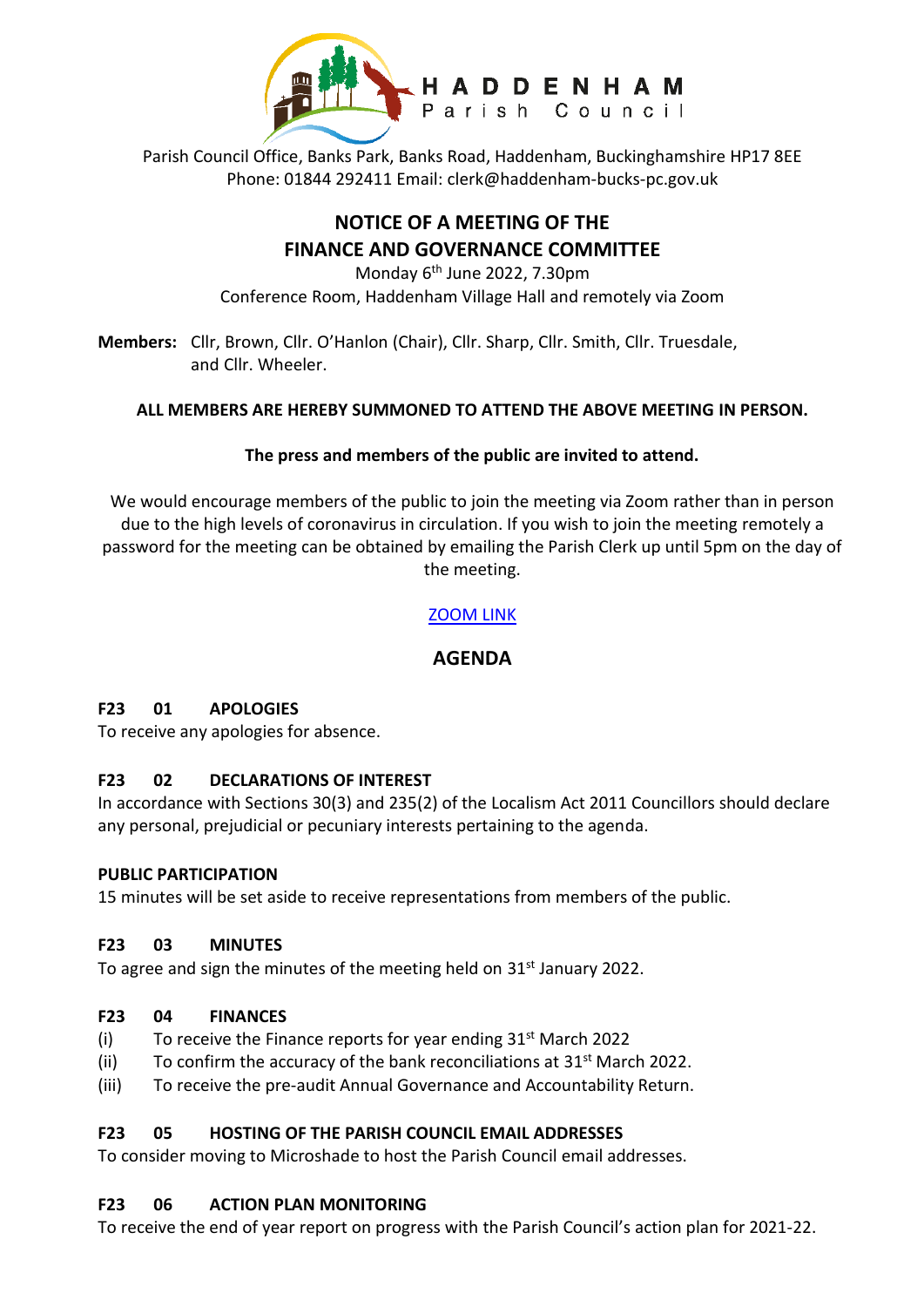

Parish Council Office, Banks Park, Banks Road, Haddenham, Buckinghamshire HP17 8EE Phone: 01844 292411 Email: clerk@haddenham-bucks-pc.gov.uk

# **NOTICE OF A MEETING OF THE FINANCE AND GOVERNANCE COMMITTEE**

Monday 6<sup>th</sup> June 2022, 7.30pm Conference Room, Haddenham Village Hall and remotely via Zoom

**Members:** Cllr, Brown, Cllr. O'Hanlon (Chair), Cllr. Sharp, Cllr. Smith, Cllr. Truesdale, and Cllr. Wheeler.

# **ALL MEMBERS ARE HEREBY SUMMONED TO ATTEND THE ABOVE MEETING IN PERSON.**

# **The press and members of the public are invited to attend.**

We would encourage members of the public to join the meeting via Zoom rather than in person due to the high levels of coronavirus in circulation. If you wish to join the meeting remotely a password for the meeting can be obtained by emailing the Parish Clerk up until 5pm on the day of the meeting.

# [ZOOM LINK](https://us06web.zoom.us/j/88109982704)

# **AGENDA**

#### **F23 01 APOLOGIES**

To receive any apologies for absence.

#### **F23 02 DECLARATIONS OF INTEREST**

In accordance with Sections 30(3) and 235(2) of the Localism Act 2011 Councillors should declare any personal, prejudicial or pecuniary interests pertaining to the agenda.

#### **PUBLIC PARTICIPATION**

15 minutes will be set aside to receive representations from members of the public.

#### **F23 03 MINUTES**

To agree and sign the minutes of the meeting held on 31<sup>st</sup> January 2022.

#### **F23 04 FINANCES**

- (i) To receive the Finance reports for year ending  $31<sup>st</sup>$  March 2022
- (ii) To confirm the accuracy of the bank reconciliations at  $31<sup>st</sup>$  March 2022.
- (iii) To receive the pre-audit Annual Governance and Accountability Return.

#### **F23 05 HOSTING OF THE PARISH COUNCIL EMAIL ADDRESSES**

To consider moving to Microshade to host the Parish Council email addresses.

#### **F23 06 ACTION PLAN MONITORING**

To receive the end of year report on progress with the Parish Council's action plan for 2021-22.